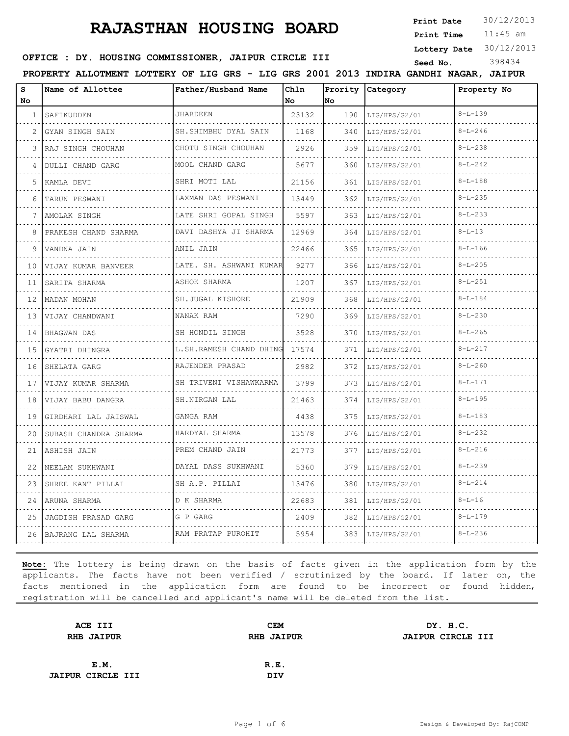**Print Date**  $30/12/2013$ 

11:45 am **Print Time**

**Lottery Date** 30/12/2013

#### **SEED OFFICE : DY. HOUSING COMMISSIONER, JAIPUR CIRCLE III** Seed No. 398434

**PROPERTY ALLOTMENT LOTTERY OF LIG GRS - LIG GRS 2001 2013 INDIRA GANDHI NAGAR, JAIPUR**

| s<br><b>No</b> | Name of Allottee                         | Father/Husband Name     | Chln<br>No | Prority<br>lNo. | <b>Category</b> | Property No   |
|----------------|------------------------------------------|-------------------------|------------|-----------------|-----------------|---------------|
| 1 <sub>1</sub> | SAFIKUDDEN                               | <b>JHARDEEN</b>         | 23132      | 190             | LIG/HPS/G2/01   | $8 - L - 139$ |
| 2              | .<br>GYAN SINGH SAIN                     | SH. SHIMBHU DYAL SAIN   | 1168       | 340             | LIG/HPS/G2/01   | $8 - L - 246$ |
| 3              | RAJ SINGH CHOUHAN                        | CHOTU SINGH CHOUHAN     | 2926       | 359             | LIG/HPS/G2/01   | $8 - 1 - 238$ |
| 4              | .<br>DULLI CHAND GARG                    | MOOL CHAND GARG<br>.    | 5677       | 360             | LIG/HPS/G2/01   | $8 - L - 242$ |
| 5.             | KAMLA DEVI                               | SHRI MOTI LAL           | 21156      | 361             | LIG/HPS/G2/01   | $8 - L - 188$ |
| 6              | TARUN PESWANI                            | LAXMAN DAS PESWANI      | 13449      | 362             | LIG/HPS/G2/01   | $8 - L - 235$ |
| 7              | AMOLAK SINGH                             | LATE SHRI GOPAL SINGH   | 5597       | 363             | LIG/HPS/G2/01   | $8 - L - 233$ |
| 8              | .<br>PRAKESH CHAND SHARMA                | DAVI DASHYA JI SHARMA   | 12969      | 364             | LIG/HPS/G2/01   | $8 - L - 13$  |
| 9              | VANDNA JAIN                              | ANIL JAIN               | 22466      | 365             | LIG/HPS/G2/01   | $8 - L - 166$ |
| 10             | VIJAY KUMAR BANVEER                      | LATE. SH. ASHWANI KUMAR | 9277       | 366             | LIG/HPS/G2/01   | $8 - L - 205$ |
| 11             | SARITA SHARMA                            | ASHOK SHARMA            | 1207       | 367             | LIG/HPS/G2/01   | $8 - L - 251$ |
| 12             | MADAN MOHAN                              | SH.JUGAL KISHORE        | 21909      | 368             | LIG/HPS/G2/01   | $8 - L - 184$ |
| 13             | VIJAY CHANDWANI                          | NANAK RAM<br>.          | 7290       | 369             | LIG/HPS/G2/01   | $8 - L - 230$ |
| 14             | <b>BHAGWAN DAS</b>                       | SH HONDIL SINGH         | 3528       | 370             | LIG/HPS/G2/01   | $8 - L - 265$ |
| 15             | GYATRI DHINGRA                           | L.SH.RAMESH CHAND DHING | 17574      | 371             | LIG/HPS/G2/01   | $8 - L - 217$ |
| 16             | SHELATA GARG                             | RAJENDER PRASAD<br>.    | 2982       | 372             | LIG/HPS/G2/01   | $8 - L - 260$ |
| 17             | VIJAY KUMAR SHARMA                       | SH TRIVENI VISHAWKARMA  | 3799       | 373             | LIG/HPS/G2/01   | $8 - L - 171$ |
| 18             | did did did did did<br>VIJAY BABU DANGRA | SH.NIRGAN LAL           | 21463      | 374             | LIG/HPS/G2/01   | $8 - L - 195$ |
| 19             | GIRDHARI LAL JAISWAL                     | GANGA RAM               | 4438       | 375             | LIG/HPS/G2/01   | $8 - L - 183$ |
| 20             | SUBASH CHANDRA SHARMA                    | HARDYAL SHARMA<br>.     | 13578      | 376             | LIG/HPS/G2/01   | $8 - L - 232$ |
| 21             | ASHISH JAIN                              | PREM CHAND JAIN         | 21773      | 377             | LIG/HPS/G2/01   | $8 - L - 216$ |
| 22             | NEELAM SUKHWANI                          | DAYAL DASS SUKHWANI     | 5360       | 379             | LIG/HPS/G2/01   | $8 - L - 239$ |
| 23             | SHREE KANT PILLAI                        | SH A.P. PILLAI          | 13476      | 380             | LIG/HPS/G2/01   | $8 - L - 214$ |
| 24             | ARUNA SHARMA                             | D K SHARMA              | 22683      | 381             | LIG/HPS/G2/01   | $8 - L - 16$  |
| 25             | JAGDISH PRASAD GARG                      | G P GARG                | 2409       | 382             | LIG/HPS/G2/01   | $8 - L - 179$ |
|                | 26 BAJRANG LAL SHARMA                    | RAM PRATAP PUROHIT      | 5954       | 383             | LIG/HPS/G2/01   | $8 - L - 236$ |

| ACE III                  | <b>CEM</b>        | DY. H.C.                 |
|--------------------------|-------------------|--------------------------|
| <b>RHB JAIPUR</b>        | <b>RHB JAIPUR</b> | <b>JAIPUR CIRCLE III</b> |
|                          |                   |                          |
| E.M.                     | R.E.              |                          |
| <b>JAIPUR CIRCLE III</b> | <b>DIV</b>        |                          |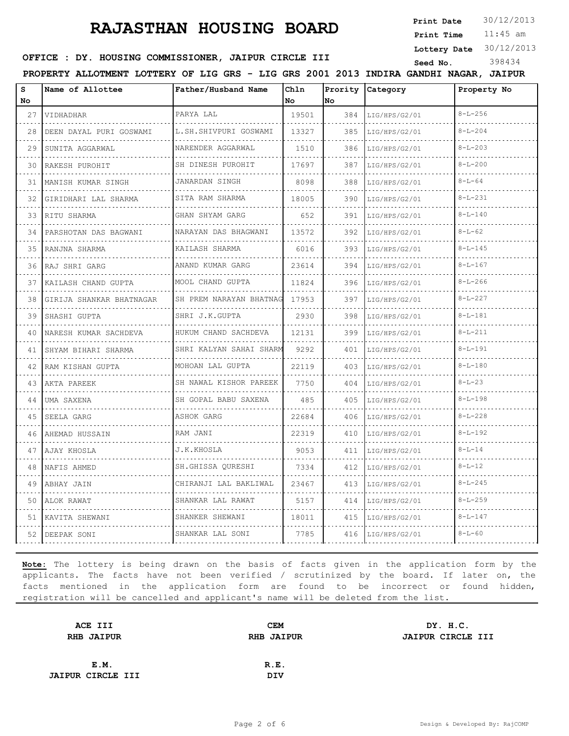**Print Date**  $30/12/2013$ 

11:45 am **Print Time**

**Lottery Date** 30/12/2013

#### **SEED OFFICE : DY. HOUSING COMMISSIONER, JAIPUR CIRCLE III** Seed No. 398434

**PROPERTY ALLOTMENT LOTTERY OF LIG GRS - LIG GRS 2001 2013 INDIRA GANDHI NAGAR, JAIPUR**

| s<br>No | Name of Allottee         | Father/Husband Name     | Chln<br>No | No  | Prority Category | Property No   |
|---------|--------------------------|-------------------------|------------|-----|------------------|---------------|
| 27      | VIDHADHAR                | PARYA LAL               | 19501      | 384 | LIG/HPS/G2/01    | $8 - L - 256$ |
| 28      | DEEN DAYAL PURI GOSWAMI  | L.SH.SHIVPURI GOSWAMI   | 13327      | 385 | LIG/HPS/G2/01    | $8 - L - 204$ |
| 29      | SUNITA AGGARWAL          | NARENDER AGGARWAL       | 1510       | 386 | LIG/HPS/G2/01    | $8 - L - 203$ |
| 30      | RAKESH PUROHIT           | .<br>SH DINESH PUROHIT  | 17697      | 387 | LIG/HPS/G2/01    | $8 - L - 200$ |
| 31      | MANISH KUMAR SINGH       | JANARDAN SINGH          | 8098       | 388 | LIG/HPS/G2/01    | $8 - L - 64$  |
| 32      | GIRIDHARI LAL SHARMA     | SITA RAM SHARMA         | 18005      | 390 | LIG/HPS/G2/01    | $8 - L - 231$ |
| 33      | RITU SHARMA              | .<br>GHAN SHYAM GARG    | 652        | 391 | LIG/HPS/G2/01    | $8 - L - 140$ |
| 34      | PARSHOTAN DAS BAGWANI    | NARAYAN DAS BHAGWANI    | 13572      | 392 | LIG/HPS/G2/01    | $8 - L - 62$  |
| 35      | RANJNA SHARMA            | KAILASH SHARMA          | 6016       | 393 | LIG/HPS/G2/01    | $8 - L - 145$ |
| 36      | RAJ SHRI GARG            | .<br>ANAND KUMAR GARG   | 23614      | 394 | LIG/HPS/G2/01    | $8 - L - 167$ |
| 37      | KAILASH CHAND GUPTA      | MOOL CHAND GUPTA        | 11824      | 396 | LIG/HPS/G2/01    | $8 - L - 266$ |
| 38      | GIRIJA SHANKAR BHATNAGAR | SH PREM NARAYAN BHATNAG | 17953      | 397 | LIG/HPS/G2/01    | $8 - L - 227$ |
| 39      | SHASHI GUPTA             | .<br>SHRI J.K.GUPTA     | 2930       | 398 | LIG/HPS/G2/01    | $8 - L - 181$ |
| 40      | NARESH KUMAR SACHDEVA    | HUKUM CHAND SACHDEVA    | 12131      | 399 | LIG/HPS/G2/01    | $8 - L - 211$ |
| 41      | SHYAM BIHARI SHARMA      | SHRI KALYAN SAHAI SHARM | 92.92      | 401 | LIG/HPS/G2/01    | $8 - L - 191$ |
| 42      | RAM KISHAN GUPTA         | MOHOAN LAL GUPTA        | 22119      | 403 | LIG/HPS/G2/01    | $8 - L - 180$ |
| 43      | AKTA PAREEK              | SH NAWAL KISHOR PAREEK  | 7750       | 404 | LIG/HPS/G2/01    | $8 - L - 23$  |
| 44      | UMA SAXENA               | SH GOPAL BABU SAXENA    | 485        | 405 | LIG/HPS/G2/01    | $8 - L - 198$ |
| 45      | SEELA GARG               | .<br>ASHOK GARG         | 22684      | 406 | LIG/HPS/G2/01    | $8 - L - 228$ |
| 46      | AHEMAD HUSSAIN           | RAM JANI                | 22319      | 410 | LIG/HPS/G2/01    | $8 - L - 192$ |
| 47      | AJAY KHOSLA              | J.K.KHOSLA              | 9053       | 411 | LIG/HPS/G2/01    | $8 - L - 14$  |
| 48      | NAFIS AHMED              | SH.GHISSA OURESHI       | 7334       | 412 | LIG/HPS/G2/01    | $8 - L - 12$  |
| 49      | ABHAY JAIN               | CHIRANJI LAL BAKLIWAL   | 23467      | 413 | LIG/HPS/G2/01    | $8 - L - 245$ |
| 50      | ALOK RAWAT               | SHANKAR LAL RAWAT<br>.  | 5157       | 414 | LIG/HPS/G2/01    | $8 - L - 259$ |
| 51      | KAVITA SHEWANI           | SHANKER SHEWANI         | 18011      | 415 | LIG/HPS/G2/01    | $8 - L - 147$ |
| 52      | DEEPAK SONI              | SHANKAR LAL SONI        | 7785       | 416 | LIG/HPS/G2/01    | $8 - L - 60$  |

| ACE III                  | <b>CEM</b>        | DY. H.C.          |
|--------------------------|-------------------|-------------------|
| <b>RHB JAIPUR</b>        | <b>RHB JAIPUR</b> | JAIPUR CIRCLE III |
|                          |                   |                   |
| E.M.                     | R.E.              |                   |
| <b>JAIPUR CIRCLE III</b> | <b>DIV</b>        |                   |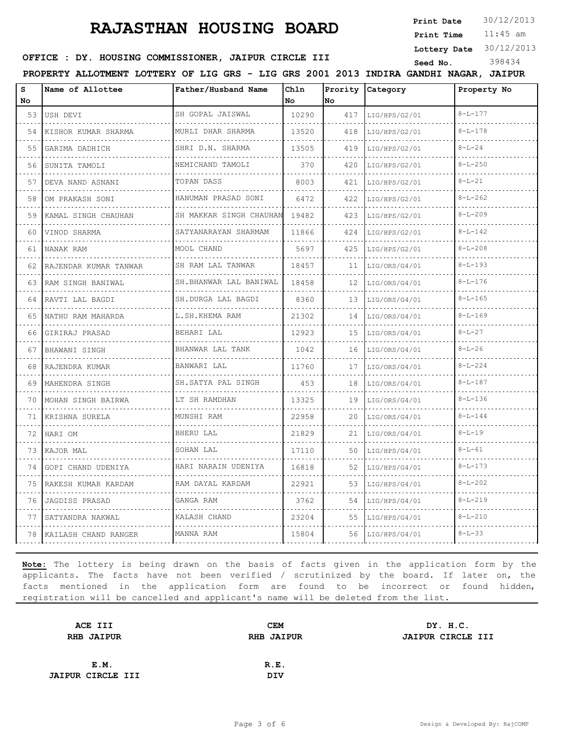# **RAJASTHAN HOUSING BOARD** Print Date 30/12/2013

**Print Date**

11:45 am **Print Time**

**Lottery Date** 30/12/2013

#### **SEED OFFICE : DY. HOUSING COMMISSIONER, JAIPUR CIRCLE III** Seed No. 398434

**PROPERTY ALLOTMENT LOTTERY OF LIG GRS - LIG GRS 2001 2013 INDIRA GANDHI NAGAR, JAIPUR**

**S** Name of Allottee **Chln Name of Allottee Father/Husband Name Prority Category Property No No No No** 53 USH DEVI SH GOPAL JAISWAL 10290 417 LIG/HPS/G2/01 8-L-177 . . . . . . . . . . . . . . . . . . . . 54 KISHOR KUMAR SHARMA MURLI DHAR SHARMA 13520 418 LIG/HPS/G2/01 8-L-178 55 GARIMA DADHICH SHRI D.N. SHARMA 13505 419 LIG/HPS/G2/01 8-L-24 56 SUNITA TAMOLI NEMICHAND TAMOLI 370 420 LIG/HPS/G2/01 8-L-250 . . . . . . . . . . . . . . . . . . . . . . . . . . . . . . . . . . . 57 DEVA NAND ASNANI TOPAN DASS 8003 421 LIG/HPS/G2/01 8-L-21  $\sim$   $\sim$   $\sim$ . . . . . . . . . . . . . . . . . . . . . . . . . . . . . . . . . . . . . . . . 58 OM PRAKASH SONI HANUMAN PRASAD SONI 6472 422 LIG/HPS/G2/01 8-L-262 . . . . . . . . . . . . . . . . . . . . . . . . . . . . . . . . . . . . . . . . . . . . . . . . 59 KAMAL SINGH CHAUHAN SH MAKKAR SINGH CHAUHAN 19482 423 LIG/HPS/G2/01 8-L-209 . . . . . . . . . . . . . . . 60 VINOD SHARMA SATYANARAYAN SHARMAM 11866 424 LIG/HPS/G2/01 8-L-142 61 NANAK RAM MOOL CHAND 5697 425 LIG/HPS/G2/01 8-L-208 62 RAJENDAR KUMAR TANWAR SH RAM LAL TANWAR 18457 11 LIG/ORS/G4/01 8-L-193 63 RAM SINGH BANIWAL SH.BHANWAR LAL BANIWAL 18458 12 LIG/ORS/G4/01 8-L-176 a a c . . . . . . . . .  $\sim$   $\sim$   $\sim$ 64 RAVTI LAL BAGDI SH.DURGA LAL BAGDI 8360 13 LIG/ORS/G4/01 8-L-165 . . . . . . . . . . . . . . . . . . . . . . . . . .  $\sim$   $\sim$   $\sim$ . . . . . . . . . . . . . 65 NATHU RAM MAHARDA L.SH.KHEMA RAM 21302 14 LIG/ORS/G4/01 8-L-169 . . . . . . . . . . . . . . . . 66 GIRIRAJ PRASAD BEHARI LAL 12923 15 LIG/ORS/G4/01 8-L-27 67 BHAWANI SINGH BHANWAR LAL TANK 1042 16 LIG/ORS/G4/01 8-L-26 68 RAJENDRA KUMAR BANWARI LAL 11760 17 LIG/ORS/G4/01 8-L-224 . . . . . . . . . . . . . . . . . . . . . . . . . . . . . . . . . . . . . . . . . . . 69 MAHENDRA SINGH SH.SATYA PAL SINGH 453 18 LIG/ORS/G4/01 8-L-187  $\sim 100$ . . . . . . . . . . . . . . . . . . . . . . . . . . . . .  $\sim 100$ . . . . . . . . . . 70 MOHAN SINGH BAIRWA LT SH RAMDHAN 13325 19 LIG/ORS/G4/01 8-L-136 . . . . . . . . . . . . . . . . . . . . . . . . . . . . . . . . . . . . . . . . . . . . . . . . . . 71 KRISHNA SURELA MUNSHI RAM 22958 20 LIG/ORS/G4/01 8-L-144 . . . . . . . . . . . . . . . . . . . . . . . . . . . . . . . . . . . . . . . . . . . . . . 72 HARI OM BHERU LAL 21829 21 LIG/ORS/G4/01 8-L-19 73 KAJOR MAL SOHAN LAL 17110 50 LIG/HPS/G4/01 8-L-61 74 GOPI CHAND UDENIYA HARI NARAIN UDENIYA 16818 52 LIG/HPS/G4/01 8-L-173 111 . . . . . . . . . . . . . . . . . . . . . . . . 75 RAKESH KUMAR KARDAM RAM DAYAL KARDAM 22921 53 LIG/HPS/G4/01 8-L-202 . . . . . . . . . . . . . . . . . . . . . . . . . . . . . . . . . . . . . . . . 76 JAGDISS PRASAD GANGA RAM 3762 54 LIG/HPS/G4/01 8-L-219  $\sim$ . . . . . . . . . . . . . . . . . . . . 77 SATYANDRA NAKWAL KALASH CHAND 23204 55 LIG/HPS/G4/01 8-L-210  $\sim$ . . . . . . . . . . . . . . . . . . . . 78 KAILASH CHAND RANGER MANNA RAM 15804 56 LIG/HPS/G4/01 8-L-33

| ACE III                  | <b>CEM</b>        | DY. H.C.          |
|--------------------------|-------------------|-------------------|
| <b>RHB JAIPUR</b>        | <b>RHB JAIPUR</b> | JAIPUR CIRCLE III |
|                          |                   |                   |
| E.M.                     | R.E.              |                   |
| <b>JAIPUR CIRCLE III</b> | <b>DIV</b>        |                   |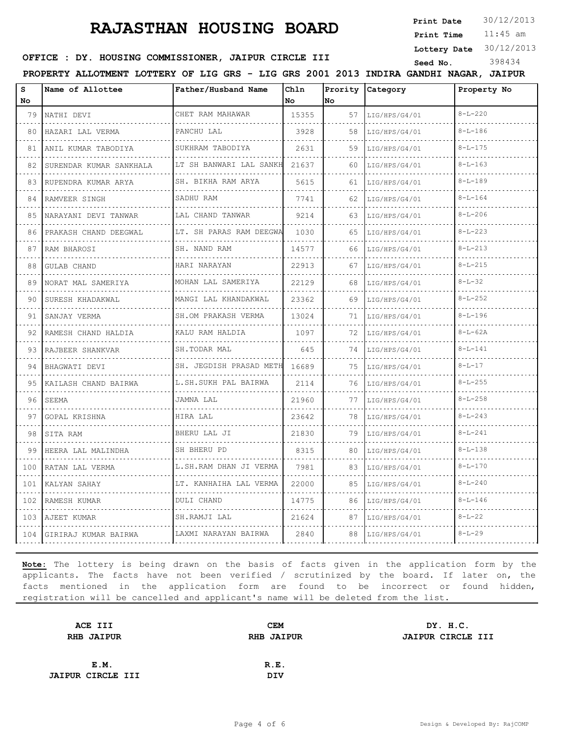**Print Date**  $30/12/2013$ 

11:45 am **Print Time**

**Lottery Date** 30/12/2013

#### **SEED OFFICE : DY. HOUSING COMMISSIONER, JAIPUR CIRCLE III** Seed No. 398434

**PROPERTY ALLOTMENT LOTTERY OF LIG GRS - LIG GRS 2001 2013 INDIRA GANDHI NAGAR, JAIPUR**

| S<br>No                            | Name of Allottee        | Father/Husband Name      | Chln<br>No | Prority<br>No | Category           | Property No   |
|------------------------------------|-------------------------|--------------------------|------------|---------------|--------------------|---------------|
| 79                                 | NATHI DEVI              | CHET RAM MAHAWAR         | 15355      | 57            | LIG/HPS/G4/01      | $8 - L - 220$ |
| 80                                 | .<br>HAZARI LAL VERMA   | PANCHU LAL               | 3928       | 58            | .<br>LIG/HPS/G4/01 | $8 - L - 186$ |
| 81                                 | ANIL KUMAR TABODIYA     | SUKHRAM TABODIYA         | 2631       | 59            | LIG/HPS/G4/01      | $8 - L - 175$ |
| 82                                 | SURENDAR KUMAR SANKHALA | LT SH BANWARI LAL SANKH  | 21637      | 60            | LIG/HPS/G4/01      | $8 - L - 163$ |
| 83                                 | RUPENDRA KUMAR ARYA     | SH. BIKHA RAM ARYA       | 5615       | 61            | LIG/HPS/G4/01      | $8 - L - 189$ |
| 84                                 | RAMVEER SINGH           | SADHU RAM                | 7741       | 62            | LIG/HPS/G4/01      | $8 - L - 164$ |
| 85                                 | NARAYANI DEVI TANWAR    | LAL CHAND TANWAR<br>.    | 9214       | 63            | LIG/HPS/G4/01      | $8 - L - 206$ |
| 86                                 | PRAKASH CHAND DEEGWAL   | LT. SH PARAS RAM DEEGWA  | 1030       | 65            | LIG/HPS/G4/01      | $8 - L - 223$ |
| 87                                 | RAM BHAROSI             | SH. NAND RAM             | 14577      | 66            | LIG/HPS/G4/01      | $8 - L - 213$ |
| 88                                 | <b>GULAB CHAND</b>      | HARI NARAYAN             | 22913      | 67            | LIG/HPS/G4/01      | $8 - L - 215$ |
| 89                                 | NORAT MAL SAMERIYA      | MOHAN LAL SAMERIYA<br>.  | 22129      | 68            | LIG/HPS/G4/01      | $8 - L - 32$  |
| 90                                 | SURESH KHADAKWAL        | MANGI LAL KHANDAKWAL     | 23362      | 69            | LIG/HPS/G4/01      | $8 - L - 252$ |
| 91                                 | SANJAY VERMA            | SH.OM PRAKASH VERMA<br>. | 13024      | 71            | LIG/HPS/G4/01      | $8 - L - 196$ |
| 92                                 | RAMESH CHAND HALDIA     | KALU RAM HALDIA          | 1097       | 72            | LIG/HPS/G4/01      | $8 - L - 62A$ |
| 93                                 | RAJBEER SHANKVAR        | SH.TODAR MAL             | 645        | 74            | LIG/HPS/G4/01      | $8 - L - 141$ |
| 94                                 | BHAGWATI DEVI           | SH. JEGDISH PRASAD METH  | 16689      | 75            | LIG/HPS/G4/01      | $8 - L - 17$  |
| 95                                 | KAILASH CHAND BAIRWA    | L.SH.SUKH PAL BAIRWA     | 2114       | 76            | LIG/HPS/G4/01      | $8 - L - 255$ |
| 96                                 | SEEMA                   | JAMNA LAL                | 21960      | 77            | LIG/HPS/G4/01      | $8 - L - 258$ |
| 97                                 | GOPAL KRISHNA           | HIRA LAL                 | 23642      | 78            | LIG/HPS/G4/01      | $8 - L - 243$ |
| 98                                 | SITA RAM                | BHERU LAL JI             | 21830      | 79            | LIG/HPS/G4/01      | $8 - L - 241$ |
| 99                                 | HEERA LAL MALINDHA      | SH BHERU PD              | 8315       | 80            | LIG/HPS/G4/01      | $8 - L - 138$ |
| 100                                | RATAN LAL VERMA         | L.SH.RAM DHAN JI VERMA   | 7981       | 83            | LIG/HPS/G4/01      | $8 - L - 170$ |
| $\sim$ $\sim$ $\sim$ $\sim$<br>101 | KALYAN SAHAY            | LT. KANHAIHA LAL VERMA   | 22000      | 85            | LIG/HPS/G4/01      | $8 - L - 240$ |
| 102                                | RAMESH KUMAR            | <b>DULI CHAND</b>        | 14775      | 86            | LIG/HPS/G4/01      | $8 - L - 146$ |
| 103                                | AJEET KUMAR             | SH.RAMJI LAL             | 21624      | 87            | LIG/HPS/G4/01      | $8 - L - 22$  |
| 104                                | GIRIRAJ KUMAR BAIRWA    | LAXMI NARAYAN BAIRWA     | 2840       | 88            | LIG/HPS/G4/01      | $8 - L - 29$  |

| ACE III                  | <b>CEM</b> | DY. H.C.                  |
|--------------------------|------------|---------------------------|
| <b>RHB JAIPUR</b>        |            | JAIPUR CIRCLE III         |
|                          |            |                           |
| E.M.                     |            |                           |
| <b>JAIPUR CIRCLE III</b> | <b>DIV</b> |                           |
|                          |            | <b>RHB JAIPUR</b><br>R.E. |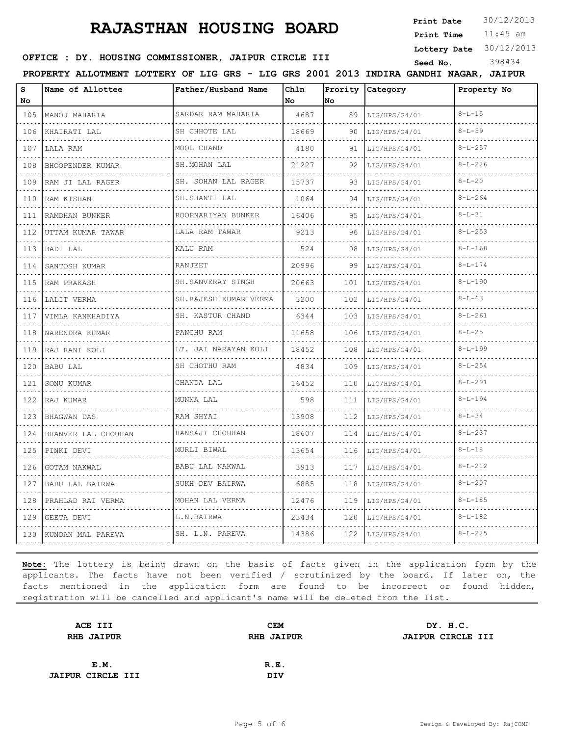**Print Date**  $30/12/2013$ 

11:45 am **Print Time**

**Lottery Date** 30/12/2013

#### **OFFICE : DY. HOUSING COMMISSIONER, JAIPUR CIRCLE III** Seed No. 398434

**PROPERTY ALLOTMENT LOTTERY OF LIG GRS - LIG GRS 2001 2013 INDIRA GANDHI NAGAR, JAIPUR**

| S<br>No | Name of Allottee    | Father/Husband Name     | Chln<br>No | Prority<br>lNo. | Category      | Property No   |
|---------|---------------------|-------------------------|------------|-----------------|---------------|---------------|
| 105     | MANOJ MAHARIA<br>.  | SARDAR RAM MAHARIA<br>. | 4687       | 89              | LIG/HPS/G4/01 | $8 - L - 15$  |
| 106     | KHAIRATI LAL        | SH CHHOTE LAL           | 18669      | 90              | LIG/HPS/G4/01 | $8 - L - 59$  |
| 107     | LALA RAM            | MOOL CHAND              | 4180       | 91              | LIG/HPS/G4/01 | $8 - L - 257$ |
| 108     | BHOOPENDER KUMAR    | SH. MOHAN LAL           | 21227      | 92              | LIG/HPS/G4/01 | $8 - L - 226$ |
| 109     | RAM JI LAL RAGER    | SH. SOHAN LAL RAGER     | 15737      | 93              | LIG/HPS/G4/01 | $8 - L - 20$  |
| 110     | RAM KISHAN          | SH.SHANTI LAL           | 1064       | 94              | LIG/HPS/G4/01 | $8 - L - 264$ |
| 111     | RAMDHAN BUNKER<br>. | ROOPNARIYAN BUNKER      | 16406      | 95              | LIG/HPS/G4/01 | $8 - L - 31$  |
| 112     | UTTAM KUMAR TAWAR   | LALA RAM TAWAR          | 9213       | 96              | LIG/HPS/G4/01 | $8 - L - 253$ |
| 113     | BADI LAL            | KALU RAM                | 524        | 98              | LIG/HPS/G4/01 | $8 - L - 168$ |
| 114     | SANTOSH KUMAR       | <b>RANJEET</b>          | 20996      | 99              | LIG/HPS/G4/01 | $8 - L - 174$ |
| 115     | RAM PRAKASH         | SH.SANVERAY SINGH       | 20663      | 101             | LIG/HPS/G4/01 | $8 - L - 190$ |
| 116     | LALIT VERMA         | SH.RAJESH KUMAR VERMA   | 3200       | 102             | LIG/HPS/G4/01 | $8 - L - 63$  |
| 117     | VIMLA KANKHADIYA    | SH. KASTUR CHAND        | 6344       | 103             | LIG/HPS/G4/01 | $8 - L - 261$ |
| 118     | NARENDRA KUMAR      | PANCHU RAM              | 11658      | 106             | LIG/HPS/G4/01 | $8 - L - 25$  |
| 119     | RAJ RANI KOLI       | LT. JAI NARAYAN KOLI    | 18452      | 108             | LIG/HPS/G4/01 | $8 - L - 199$ |
| 120     | BABU LAL            | SH CHOTHU RAM<br>.      | 4834       | 109             | LIG/HPS/G4/01 | $8 - L - 254$ |
| 121     | SONU KUMAR          | CHANDA LAL              | 16452      | 110             | LIG/HPS/G4/01 | $8 - L - 201$ |
| 122     | RAJ KUMAR           | MUNNA LAL               | 598        | 111             | LIG/HPS/G4/01 | $8 - L - 194$ |
| 123     | BHAGWAN DAS         | RAM SHYAI               | 13908      | 112             | LIG/HPS/G4/01 | $8 - L - 34$  |
| 124     | BHANVER LAL CHOUHAN | HANSAJI CHOUHAN         | 18607      | 114             | LIG/HPS/G4/01 | $8 - L - 237$ |
| 125     | PINKI DEVI          | MURLI BIWAL             | 13654      | 116             | LIG/HPS/G4/01 | $8 - L - 18$  |
| 126     | <b>GOTAM NAKWAL</b> | BABU LAL NAKWAL         | 3913       | 117             | LIG/HPS/G4/01 | $8 - L - 212$ |
| 127     | BABU LAL BAIRWA     | SUKH DEV BAIRWA         | 6885       | 118             | LIG/HPS/G4/01 | $8 - L - 207$ |
| 128     | PRAHLAD RAI VERMA   | MOHAN LAL VERMA         | 12476      | 119             | LIG/HPS/G4/01 | $8 - L - 185$ |
| 129     | GEETA DEVI          | L.N.BAIRWA              | 23434      | 120             | LIG/HPS/G4/01 | $8 - L - 182$ |
| 130     | KUNDAN MAL PAREVA   | SH. L.N. PAREVA         | 14386      | 122             | LIG/HPS/G4/01 | $8 - L - 225$ |

| ACE III                  | <b>CEM</b> | DY. H.C.                  |
|--------------------------|------------|---------------------------|
| <b>RHB JAIPUR</b>        |            | JAIPUR CIRCLE III         |
|                          |            |                           |
| E.M.                     |            |                           |
| <b>JAIPUR CIRCLE III</b> | <b>DIV</b> |                           |
|                          |            | <b>RHB JAIPUR</b><br>R.E. |